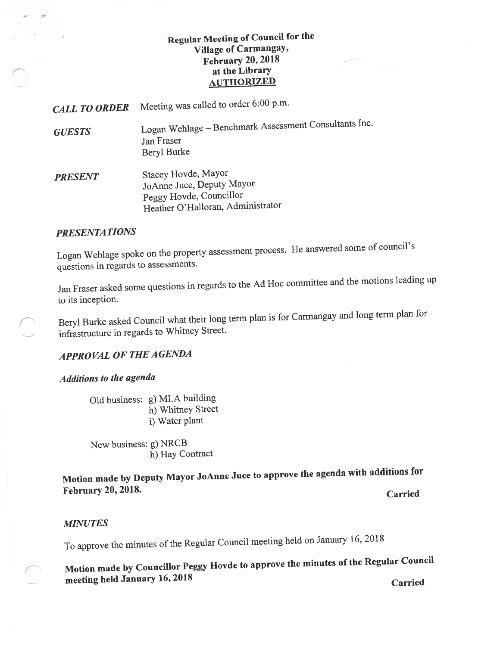## Regular Meeting of Council for the Village of Carmangay, February 20, 2018 at the Library **AUTHORIZED**

CALL TO ORDER Meeting was called to order 6:00 p.m.

GUESTS Logan Wehiage — Benchmark Assessment Consultants Inc. Jan Fraser Beryl Burke

PRESENT Stacey Hovde, Mayor JoAnne Juce, Deputy Mayor Peggy Hovde, Councillor Heather O'Halloran, Administrator

## PRESENTATIONS

Logan Wehiage spoke on the property assessment process. He answered some of council's questions in regards to assessments.

Jan Fraser asked some questions in regards to the Ad Hoc committee and the motions leading up to its inception.

Beryl Burke asked Council what their long term <sup>p</sup>lan is for Carmangay and long term <sup>p</sup>lan for infrastructure in regards to Whitney Street.

## **APPROVAL OF THE AGENDA**

## Additions to the agenda

Old business: g) MLA building h) Whitney Street i) Water plant

New business: g) NRCB h) Hay Contract

Motion made by Deputy Mayor JoAnne Juce to approve the agenda with additions for February 20, 2018.

**Carried** 

## MINUTES

To approve the minutes of the Regular Council meeting held on January 16, <sup>2018</sup>

— Motion made by Councillor Peggy Hovde to approve the minutes of the Regular Council meeting held January 16, <sup>2018</sup>

Carried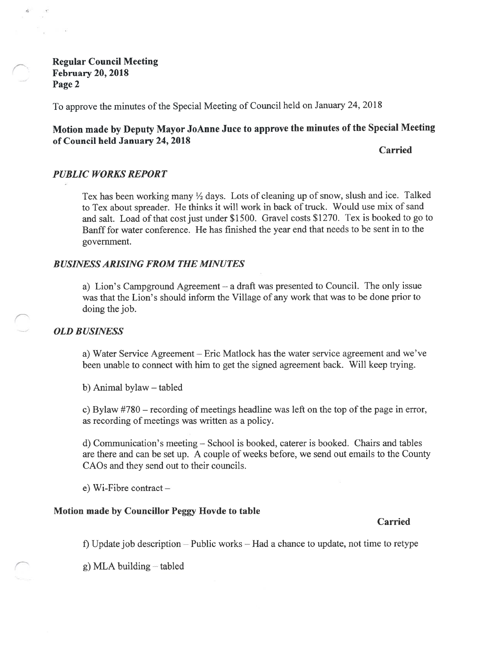Regular Council Meeting February 20, 2018 Page 2

To approve the minutes of the Special Meeting of Council held on January 24, 2018

# Motion made by Deputy Mayor JoAnne Juce to approve the minutes of the Special Meeting of Council held January 24, 2018

Carried

### PUBLIC WORKS REPORT

Tex has been working many  $\frac{1}{2}$  days. Lots of cleaning up of snow, slush and ice. Talked to Tex about spreader. He thinks it will work in back of truck. Would use mix of sand and salt. Load of that cost just under \$1500. Gravel costs \$1270. Tex is booked to go to Banff for water conference. He has finished the year end that needs to be sent in to the government.

#### BUSINESS ARISING FROM THE MINUTES

a) Lion's Campground Agreement — a draft was presented to Council. The only issue was that the Lion's should inform the Village of any work that was to be done prior to doing the job.

#### OLD BUSINESS

a) Water Service Agreement — Eric Matlock has the water service agreement and we've been unable to connect with him to get the signed agreement back. Will keep trying.

b) Animal bylaw — tabled

c) Bylaw  $#780$  – recording of meetings headline was left on the top of the page in error, as recording of meetings was written as a policy.

d) Communication's meeting — School is booked, caterer is booked. Chairs and tables are there and can be set up. A couple of weeks before, we send out emails to the County CAOs and they send out to their councils.

e) Wi-Fibre contract —

## Motion made by Councillor Peggy Hovde to table

#### Carried

f) Update job description — Public works — Had a chance to update, not time to retype

g) MLA building — tabled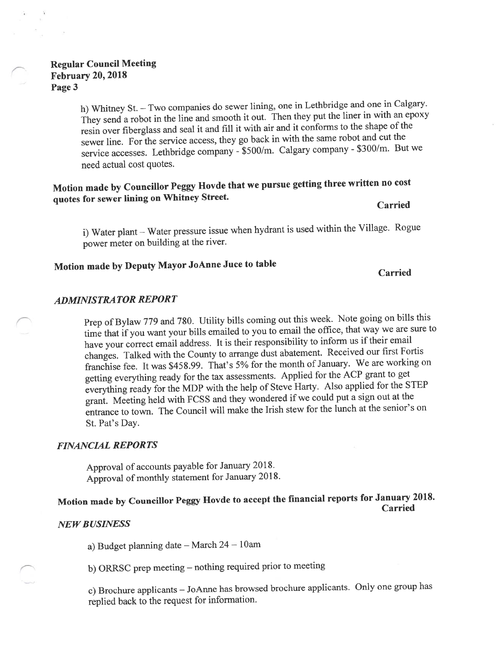## Regular Council Meeting February 20, 2018 Page 3

h) Whitney St. — Two companies do sewer lining, one in Lethbridge and one in Calgary. They send <sup>a</sup> robot in the line and smooth it out. Then they pu<sup>t</sup> the liner in with an epoxy resin over fiberglass and seal it and fill it with air and it conforms to the shape of the sewer line. For the service access, they go back in with the same robot and cut the service accesses. Lethbridge company - \$500/m. Calgary company - \$300/m. But we need actual cost quotes.

# Motion made by Councillor Peggy Hovde that we pursue getting three written no cost quotes for sewer lining on Whitney Street.

Carried

i) Water <sup>p</sup>lant — Water pressure issue when hydrant is used within the Village. Rogue power meter on building at the river.

# Motion made by Deputy Mayor JoAnne Juce to table

#### Carried

## ADMINISTRA TOR REPORT

Prep of Bylaw 779 and 780. Utility bills coming out this week. Note going on bills this time that if you want your bills ernailed to you to email the office, that way we are sure to have your correct email address. It is their responsibility to inform us if their email changes. Talked with the County to arrange dust abatement. Received our first <sup>F</sup>ortis franchise fee. It was \$458.99. That's 5% for the month of January. We are working on getting everything ready for the tax assessments. Applied for the ACP gran<sup>t</sup> to ge<sup>t</sup> everything ready for the MDP with the help of Steve Harty. Also applied for the STEP grant. Meeting held with FCSS and they wondered if we could pu<sup>t</sup> <sup>a</sup> sign out at the entrance to town. The Council will make the Irish stew for the lunch at the senior's on St. Pat's Day.

#### FINANCIAL REPORTS

Approval of accounts payable for January 2018. Approval of monthly statement for January 2018.

### Motion made by Councillor Peggy llovde to accep<sup>t</sup> the financial reports for January 2018. Carried

#### **NEW BUSINESS**

a) Budget <sup>p</sup>lanning date — March <sup>24</sup> — lOam

b) ORRSC prep meeting — nothing required prior to meeting

c) Brochure applicants — JoAnne has browsed brochure applicants. Only one group has replied back to the reques<sup>t</sup> for information.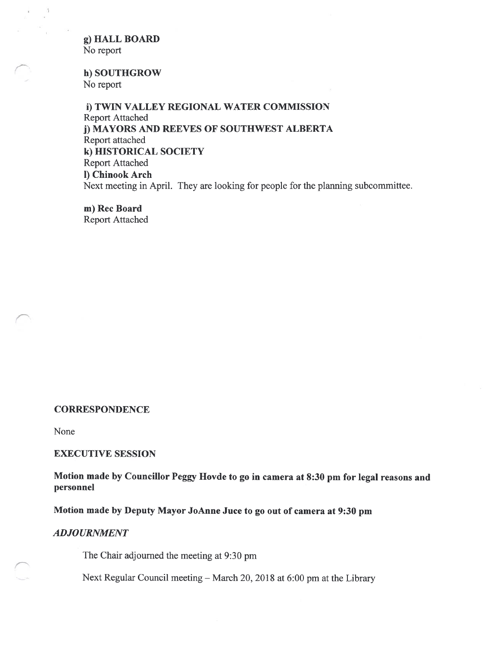g) HALL BOARD No report

 $\bar{\nu}$ 

h) SOUTHGROW No report

i) TWIN VALLEY REGIONAL WATER COMMISSION Report Attached j) MAYORS AND REEVES OF SOUTHWEST ALBERTA Report attached k) HISTORICAL SOCIETY Report Attached 1) Chinook Arch Next meeting in April. They are looking for people for the planning subcommittee.

m) Rec Board Report Attached

#### **CORRESPONDENCE**

None

#### EXECUTIVE SESSION

Motion made by Councillor Peggy Hovde to go in camera at 8:30 pm for legal reasons and personnel

Motion made by Deputy Mayor JoAnne Juce to go out of camera at 9:30 pm

#### ADJOURNMENT

The Chair adjourned the meeting at 9:30 pm

Next Regular Council meeting — March 20, 2018 at 6:00 pm at the Library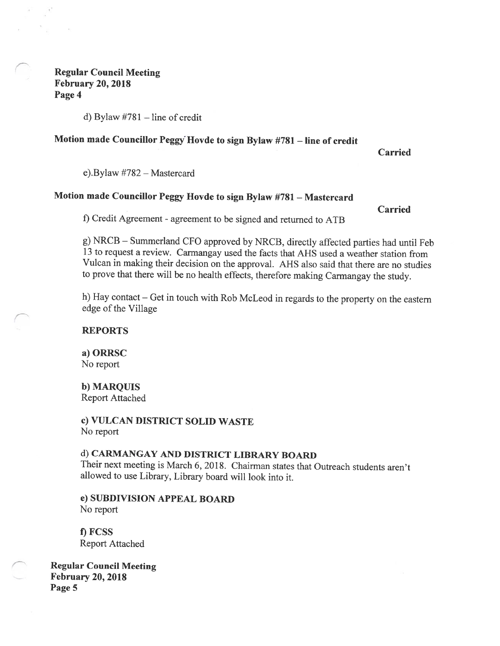## Regular Council Meeting February 20, 2018 Page 4

 $\mathbf{r}$ 

d) Bylaw #781 — line of credit

# Motion made Councillor Peggy Hovde to sign Bylaw #781 — line of credit

Carried

e).Bylaw #782 — Mastercard

## Motion made Councillor Peggy Hovde to sign Bylaw #781 — Mastercard

Carried

f) Credit Agreement - agreement to be signed and returned to ATB

g) NRCB — Summerland Cf<sup>0</sup> approved by NRCB, directly affected parties had until Feb 13 to request <sup>a</sup> review. Carmangay used the facts that ARS used <sup>a</sup> weather station from Vulcan in making their decision on the approval. AHS also said that there are no studies to prove that there will be no health effects, therefore making Carmangay the study.

h) Hay contact — Get in touch with Rob McLeod in regards to the property on the eastern edge of the Village

#### REPORTS

a) ORRSC No report

b) MARQUIS

Report Attached

c) VULCAN DISTRICT SOLID WASTE No report

# d) CARMANGAY AND DISTRICT LIBRARY BOARD

Their next meeting is March 6, 2018. Chairman states that Outreach students aren't allowed to use Library, Library board will look into it.

e) SUBDIVISION APPEAL BOARD No report

f) FCSS Report Attached

Regular Council Meeting February 20, 2018 Page 5